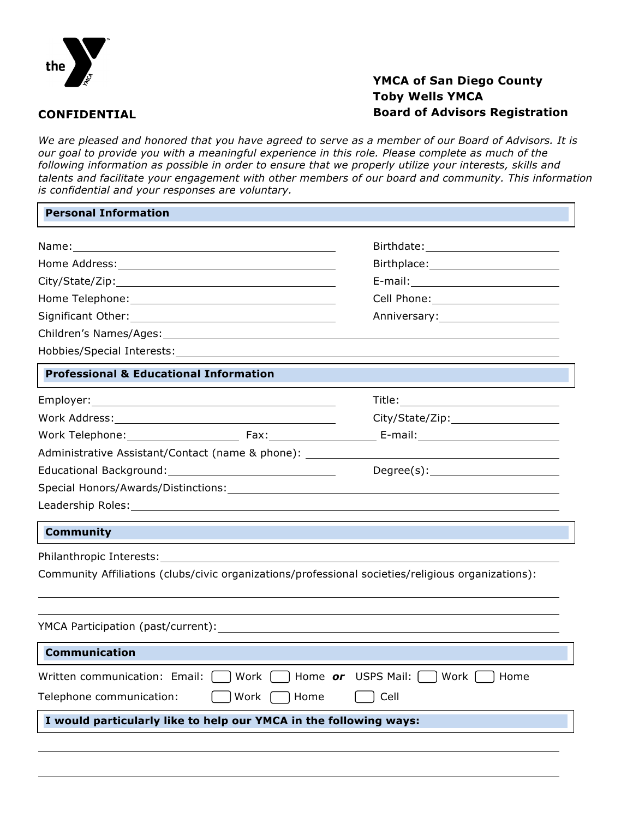

**CONFIDENTIAL**

## **YMCA of San Diego County Toby Wells YMCA Board of Advisors Registration**

*We are pleased and honored that you have agreed to serve as a member of our Board of Advisors. It is our goal to provide you with a meaningful experience in this role. Please complete as much of the following information as possible in order to ensure that we properly utilize your interests, skills and talents and facilitate your engagement with other members of our board and community. This information is confidential and your responses are voluntary.*

| <b>Personal Information</b>                                                                                                                                                                                                    |      |                                                                                                                                                                                                                                |
|--------------------------------------------------------------------------------------------------------------------------------------------------------------------------------------------------------------------------------|------|--------------------------------------------------------------------------------------------------------------------------------------------------------------------------------------------------------------------------------|
|                                                                                                                                                                                                                                |      |                                                                                                                                                                                                                                |
|                                                                                                                                                                                                                                |      | Birthplace: Management Control of the Management Control of the Management Control of the Management Control of the Management Control of the Management Control of the Management Control of the Management Control of the Ma |
|                                                                                                                                                                                                                                |      |                                                                                                                                                                                                                                |
| Home Telephone: The contract of the contract of the contract of the contract of the contract of the contract of the contract of the contract of the contract of the contract of the contract of the contract of the contract o |      | Cell Phone: <u>__________________</u>                                                                                                                                                                                          |
|                                                                                                                                                                                                                                |      | Anniversary: 1997                                                                                                                                                                                                              |
|                                                                                                                                                                                                                                |      |                                                                                                                                                                                                                                |
| Hobbies/Special Interests: Nobles and Security and Security and Security and Security and Security and Security                                                                                                                |      |                                                                                                                                                                                                                                |
| <b>Professional &amp; Educational Information</b>                                                                                                                                                                              |      |                                                                                                                                                                                                                                |
|                                                                                                                                                                                                                                |      |                                                                                                                                                                                                                                |
|                                                                                                                                                                                                                                |      |                                                                                                                                                                                                                                |
| Work Telephone: Fax: Fax:                                                                                                                                                                                                      |      | E-mail:____________________________                                                                                                                                                                                            |
| Administrative Assistant/Contact (name & phone):                                                                                                                                                                               |      |                                                                                                                                                                                                                                |
|                                                                                                                                                                                                                                |      | Degree(s):                                                                                                                                                                                                                     |
|                                                                                                                                                                                                                                |      |                                                                                                                                                                                                                                |
|                                                                                                                                                                                                                                |      |                                                                                                                                                                                                                                |
| <b>Community</b>                                                                                                                                                                                                               |      |                                                                                                                                                                                                                                |
| Philanthropic Interests:                                                                                                                                                                                                       |      |                                                                                                                                                                                                                                |
|                                                                                                                                                                                                                                |      | Community Affiliations (clubs/civic organizations/professional societies/religious organizations):                                                                                                                             |
| YMCA Participation (past/current):                                                                                                                                                                                             |      |                                                                                                                                                                                                                                |
| <b>Communication</b>                                                                                                                                                                                                           |      |                                                                                                                                                                                                                                |
| Written communication: Email:                                                                                                                                                                                                  | Work | Home or USPS Mail: [<br>Work  <br>Home                                                                                                                                                                                         |
| Telephone communication:<br>Work<br>Home<br>Cell                                                                                                                                                                               |      |                                                                                                                                                                                                                                |
| I would particularly like to help our YMCA in the following ways:                                                                                                                                                              |      |                                                                                                                                                                                                                                |
|                                                                                                                                                                                                                                |      |                                                                                                                                                                                                                                |